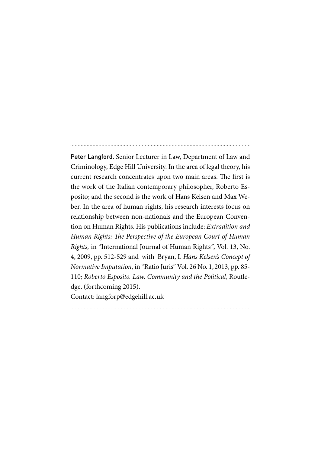Peter Langford. Senior Lecturer in Law, Department of Law and Criminology, Edge Hill University. In the area of legal theory, his current research concentrates upon two main areas. The first is the work of the Italian contemporary philosopher, Roberto Esposito; and the second is the work of Hans Kelsen and Max Weber. In the area of human rights, his research interests focus on relationship between non-nationals and the European Convention on Human Rights. His publications include: *Extradition and Human Rights: The Perspective of the European Court of Human Rights,* in "International Journal of Human Rights*"*, Vol. 13, No. 4, 2009, pp. 512-529 and with Bryan, I. *Hans Kelsen's Concept of Normative Imputation*, in "Ratio Juris" Vol. 26 No. 1, 2013, pp. 85- 110; *Roberto Esposito. Law, Community and the Political*, Routledge, (forthcoming 2015). Contact: langforp@edgehill.ac.uk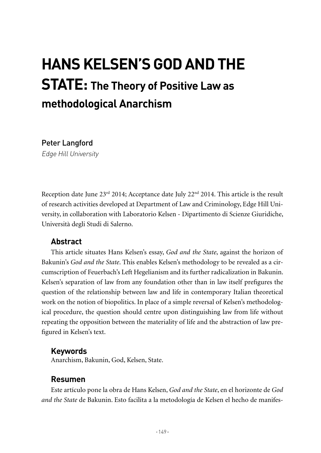# **HANS KELSEN'S GOD AND THE STATE: The Theory of Positive Law as methodological Anarchism**

Peter Langford

Edge Hill University

Reception date June  $23<sup>rd</sup> 2014$ ; Acceptance date July  $22<sup>nd</sup> 2014$ . This article is the result of research activities developed at Department of Law and Criminology, Edge Hill University, in collaboration with Laboratorio Kelsen - Dipartimento di Scienze Giuridiche, Università degli Studi di Salerno.

## **Abstract**

This article situates Hans Kelsen's essay, *God and the State*, against the horizon of Bakunin's *God and the State*. This enables Kelsen's methodology to be revealed as a circumscription of Feuerbach's Left Hegelianism and its further radicalization in Bakunin. Kelsen's separation of law from any foundation other than in law itself prefigures the question of the relationship between law and life in contemporary Italian theoretical work on the notion of biopolitics. In place of a simple reversal of Kelsen's methodological procedure, the question should centre upon distinguishing law from life without repeating the opposition between the materiality of life and the abstraction of law prefigured in Kelsen's text.

#### **Keywords**

Anarchism, Bakunin, God, Kelsen, State.

## **Resumen**

Este artículo pone la obra de Hans Kelsen, *God and the State*, en el horizonte de *God and the State* de Bakunin. Esto facilita a la metodología de Kelsen el hecho de manifes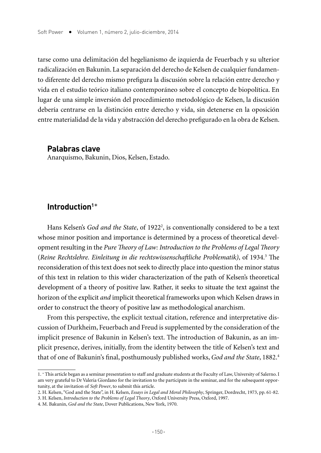tarse como una delimitación del hegelianismo de izquierda de Feuerbach y su ulterior radicalización en Bakunin. La separación del derecho de Kelsen de cualquier fundamento diferente del derecho mismo prefigura la discusión sobre la relación entre derecho y vida en el estudio teórico italiano contemporáneo sobre el concepto de biopolítica. En lugar de una simple inversión del procedimiento metodológico de Kelsen, la discusión debería centrarse en la distinción entre derecho y vida, sin detenerse en la oposición entre materialidad de la vida y abstracción del derecho prefigurado en la obra de Kelsen.

#### **Palabras clave**

Anarquismo, Bakunin, Dios, Kelsen, Estado.

### **Introduction1** \*

Hans Kelsen's *God and the State*, of 1922<sup>2</sup>, is conventionally considered to be a text whose minor position and importance is determined by a process of theoretical development resulting in the *Pure Theory of Law: Introduction to the Problems of Legal Theory*  (*Reine Rechtslehre. Einleitung in die rechtswissenschaftliche Problematik)*, of 1934.3 The reconsideration of this text does not seek to directly place into question the minor status of this text in relation to this wider characterization of the path of Kelsen's theoretical development of a theory of positive law. Rather, it seeks to situate the text against the horizon of the explicit *and* implicit theoretical frameworks upon which Kelsen draws in order to construct the theory of positive law as methodological anarchism.

From this perspective, the explicit textual citation, reference and interpretative discussion of Durkheim, Feuerbach and Freud is supplemented by the consideration of the implicit presence of Bakunin in Kelsen's text. The introduction of Bakunin, as an implicit presence, derives, initially, from the identity between the title of Kelsen's text and that of one of Bakunin's final, posthumously published works, *God and the State*, 1882.4

<sup>1</sup>. \* This article began as a seminar presentation to staff and graduate students at the Faculty of Law, University of Salerno. I am very grateful to Dr Valeria Giordano for the invitation to the participate in the seminar, and for the subsequent opportunity, at the invitation of *Soft Power*, to submit this article.

<sup>2.</sup> H. Kelsen, "God and the State", in H. Kelsen, *Essays in Legal and Moral Philosophy*, Springer, Dordrecht, 1973, pp. 61-82.

<sup>3.</sup> H. Kelsen, *Introduction to the Problems of Legal Theory*, Oxford University Press, Oxford, 1997.

<sup>4.</sup> M. Bakunin, *God and the State*, Dover Publications, New York, 1970.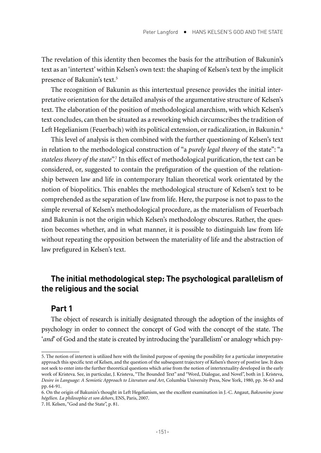The revelation of this identity then becomes the basis for the attribution of Bakunin's text as an 'intertext' within Kelsen's own text: the shaping of Kelsen's text by the implicit presence of Bakunin's text.5

The recognition of Bakunin as this intertextual presence provides the initial interpretative orientation for the detailed analysis of the argumentative structure of Kelsen's text. The elaboration of the position of methodological anarchism, with which Kelsen's text concludes, can then be situated as a reworking which circumscribes the tradition of Left Hegelianism (Feuerbach) with its political extension, or radicalization, in Bakunin.<sup>6</sup>

This level of analysis is then combined with the further questioning of Kelsen's text in relation to the methodological construction of "a *purely legal theory* of the state": "a *stateless theory of the state*".7 In this effect of methodological purification, the text can be considered, or, suggested to contain the prefiguration of the question of the relationship between law and life in contemporary Italian theoretical work orientated by the notion of biopolitics. This enables the methodological structure of Kelsen's text to be comprehended as the separation of law from life. Here, the purpose is not to pass to the simple reversal of Kelsen's methodological procedure, as the materialism of Feuerbach and Bakunin is not the origin which Kelsen's methodology obscures. Rather, the question becomes whether, and in what manner, it is possible to distinguish law from life without repeating the opposition between the materiality of life and the abstraction of law prefigured in Kelsen's text.

## **The initial methodological step: The psychological parallelism of the religious and the social**

#### **Part 1**

The object of research is initially designated through the adoption of the insights of psychology in order to connect the concept of God with the concept of the state. The '*and*' of God and the state is created by introducing the 'parallelism' or analogy which psy-

<sup>5.</sup> The notion of intertext is utilized here with the limited purpose of opening the possibility for a particular interpretative approach this specific text of Kelsen, and the question of the subsequent trajectory of Kelsen's theory of postive law. It does not seek to enter into the further theoretical questions which arise from the notion of intertextuality developed in the early work of Kristeva. See, in particular, J. Kristeva, "The Bounded Text" and "Word, Dialogue, and Novel", both in J. Kristeva, *Desire in Language: A Semiotic Approach to Literature and Art*, Columbia University Press, New York, 1980, pp. 36-63 and pp. 64-91.

<sup>6.</sup> On the origin of Bakunin's thought in Left Hegelianism, see the excellent examination in J.-C. Angaut, *Bakounine jeune hégélien. La philosophie et son dehors*, ENS, Paris, 2007.

<sup>7.</sup> H. Kelsen, "God and the State", p. 81.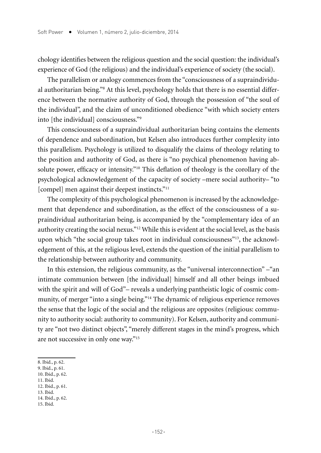chology identifies between the religious question and the social question: the individual's experience of God (the religious) and the individual's experience of society (the social).

The parallelism or analogy commences from the "consciousness of a supraindividual authoritarian being."<sup>8</sup> At this level, psychology holds that there is no essential difference between the normative authority of God, through the possession of "the soul of the individual", and the claim of unconditioned obedience "with which society enters into [the individual] consciousness."9

This consciousness of a supraindividual authoritarian being contains the elements of dependence and subordination, but Kelsen also introduces further complexity into this parallelism. Psychology is utilized to disqualify the claims of theology relating to the position and authority of God, as there is "no psychical phenomenon having absolute power, efficacy or intensity."10 This deflation of theology is the corollary of the psychological acknowledgement of the capacity of society –mere social authority– "to [compel] men against their deepest instincts."<sup>11</sup>

The complexity of this psychological phenomenon is increased by the acknowledgement that dependence and subordination, as the effect of the consciousness of a supraindividual authoritarian being, is accompanied by the "complementary idea of an authority creating the social nexus."12 While this is evident at the social level, as the basis upon which "the social group takes root in individual consciousness"<sup>13</sup>, the acknowledgement of this, at the religious level, extends the question of the initial parallelism to the relationship between authority and community.

In this extension, the religious community, as the "universal interconnection" –"an intimate communion between [the individual] himself and all other beings imbued with the spirit and will of God"- reveals a underlying pantheistic logic of cosmic community, of merger "into a single being."14 The dynamic of religious experience removes the sense that the logic of the social and the religious are opposites (religious: community to authority social: authority to community). For Kelsen, authority and community are "not two distinct objects", "merely different stages in the mind's progress, which are not successive in only one way."15

- 10. Ibid., p. 62.
- 11. Ibid.
- 12. Ibid., p. 61. 13. Ibid.
- 
- 14. Ibid., p. 62. 15. Ibid.

<sup>8.</sup> Ibid., p. 62.

<sup>9.</sup> Ibid., p. 61.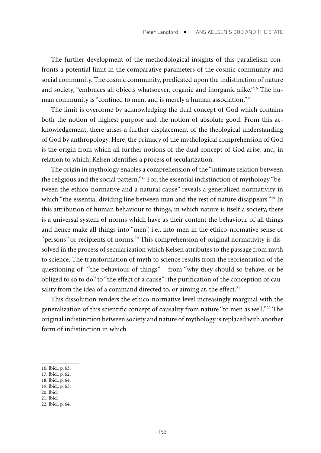The further development of the methodological insights of this parallelism confronts a potential limit in the comparative parameters of the cosmic community and social community. The cosmic community, predicated upon the indistinction of nature and society, "embraces all objects whatsoever, organic and inorganic alike."16 The human community is "confined to men, and is merely a human association."<sup>17</sup>

The limit is overcome by acknowledging the dual concept of God which contains both the notion of highest purpose and the notion of absolute good. From this acknowledgement, there arises a further displacement of the theological understanding of God by anthropology. Here, the primacy of the mythological comprehension of God is the origin from which all further notions of the dual concept of God arise, and, in relation to which, Kelsen identifies a process of secularization.

The origin in mythology enables a comprehension of the "intimate relation between the religious and the social pattern."18 For, the essential indistinction of mythology "between the ethico-normative and a natural cause" reveals a generalized normativity in which "the essential dividing line between man and the rest of nature disappears."<sup>19</sup> In this attribution of human behaviour to things, in which nature is itself a society, there is a universal system of norms which have as their content the behaviour of all things and hence make all things into "men", i.e., into men in the ethico-normative sense of "persons" or recipients of norms.<sup>20</sup> This comprehension of original normativity is dissolved in the process of secularization which Kelsen attributes to the passage from myth to science. The transformation of myth to science results from the reorientation of the questioning of "the behaviour of things" – from "why they should so behave, or be obliged to so to do" to "the effect of a cause": the purification of the conception of causality from the idea of a command directed to, or aiming at, the effect.<sup>21</sup>

This dissolution renders the ethico-normative level increasingly marginal with the generalization of this scientific concept of causality from nature "to men as well."<sup>22</sup> The original indistinction between society and nature of mythology is replaced with another form of indistinction in which

- 17. Ibid., p. 62.
- 18. Ibid., p. 64.
- 19. Ibid., p. 63. 20. Ibid.
- 21. Ibid.
- 

<sup>16.</sup> Ibid., p. 63.

<sup>22.</sup> Ibid., p. 64.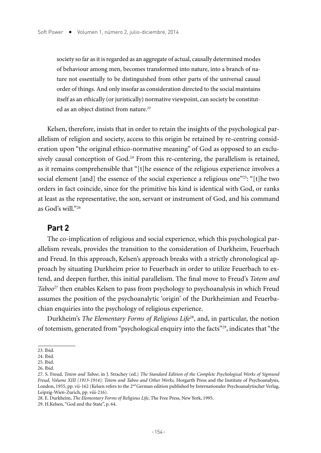society so far as it is regarded as an aggregate of actual, causally determined modes of behaviour among men, becomes transformed into nature, into a branch of nature not essentially to be distinguished from other parts of the universal causal order of things. And only insofar as consideration directed to the social maintains itself as an ethically (or juristically) normative viewpoint, can society be constituted as an object distinct from nature.23

Kelsen, therefore, insists that in order to retain the insights of the psychological parallelism of religion and society, access to this origin be retained by re-centring consideration upon "the original ethico-normative meaning" of God as opposed to an exclusively causal conception of God.<sup>24</sup> From this re-centering, the parallelism is retained, as it remains comprehensible that "[t]he essence of the religious experience involves a social element [and] the essence of the social experience a religious one $^{225}$ : "[t]he two orders in fact coincide, since for the primitive his kind is identical with God, or ranks at least as the representative, the son, servant or instrument of God, and his command as God's will."<sup>26</sup>

### **Part 2**

The co-implication of religious and social experience, which this psychological parallelism reveals, provides the transition to the consideration of Durkheim, Feuerbach and Freud. In this approach, Kelsen's approach breaks with a strictly chronological approach by situating Durkheim prior to Feuerbach in order to utilize Feuerbach to extend, and deepen further, this initial parallelism. The final move to Freud's *Totem and Taboo*27 then enables Kelsen to pass from psychology to psychoanalysis in which Freud assumes the position of the psychoanalytic 'origin' of the Durkheimian and Feuerbachian enquiries into the psychology of religious experience.

Durkheim's *The Elementary Forms of Religious Life*28, and, in particular, the notion of totemism, generated from "psychological enquiry into the facts"29, indicates that "the

<sup>23.</sup> Ibid.

<sup>24.</sup> Ibid.

<sup>25.</sup> Ibid.

<sup>26.</sup> Ibid.

<sup>27.</sup> S. Freud, *Totem and Taboo*, in J. Strachey (ed.) *The Standard Edition of the Complete Psychological Works of Sigmund Freud, Volume XIII (1913-1914): Totem and Taboo and Other Works,* Horgarth Press and the Institute of Psychoanalysis, London, 1955, pp. vii-162 (Kelsen refers to the 2<sup>nd</sup> German edition published by Internationaler Psychoanalytischer Verlag, Leipzig-Wien-Zurich, pp. viii-216).

<sup>28.</sup> E. Durkheim, *The Elementary Forms of Religious Life*, The Free Press, New York, 1995.

<sup>29.</sup> H.Kelsen, "God and the State", p. 64.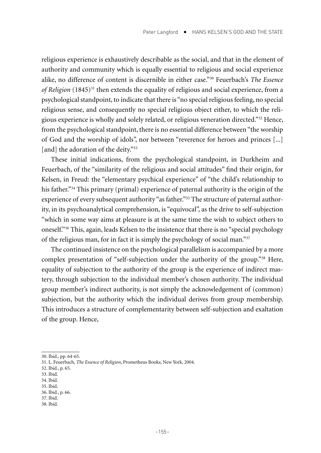religious experience is exhaustively describable as the social, and that in the element of authority and community which is equally essential to religious and social experience alike, no difference of content is discernible in either case."30 Feuerbach's *The Essence of Religion* (1845)<sup>31</sup> then extends the equality of religious and social experience, from a psychological standpoint, to indicate that there is "no special religious feeling, no special religious sense, and consequently no special religious object either, to which the religious experience is wholly and solely related, or religious veneration directed."32 Hence, from the psychological standpoint, there is no essential difference between "the worship of God and the worship of idols", nor between "reverence for heroes and princes [...] [and] the adoration of the deity."<sup>33</sup>

These initial indications, from the psychological standpoint, in Durkheim and Feuerbach, of the "similarity of the religious and social attitudes" find their origin, for Kelsen, in Freud: the "elementary psychical experience" of "the child's relationship to his father."<sup>34</sup> This primary (primal) experience of paternal authority is the origin of the experience of every subsequent authority "as father."<sup>35</sup> The structure of paternal authority, in its psychoanalytical comprehension, is "equivocal", as the drive to self-subjection "which in some way aims at pleasure is at the same time the wish to subject others to oneself."36 This, again, leads Kelsen to the insistence that there is no "special psychology of the religious man, for in fact it is simply the psychology of social man."37

The continued insistence on the psychological parallelism is accompanied by a more complex presentation of "self-subjection under the authority of the group."38 Here, equality of subjection to the authority of the group is the experience of indirect mastery, through subjection to the individual member's chosen authority. The individual group member's indirect authority, is not simply the acknowledgement of (common) subjection, but the authority which the individual derives from group membership. This introduces a structure of complementarity between self-subjection and exaltation of the group. Hence,

- 34. Ibid.
- 35. Ibid.
- 36. Ibid., p. 66.
- 37. Ibid.
- 38. Ibid.

<sup>30.</sup> Ibid., pp. 64-65.

<sup>31.</sup> L. Feuerbach, *The Essence of Religion*, Prometheus Books, New York, 2004.

<sup>32.</sup> Ibid., p. 65.

<sup>33.</sup> Ibid.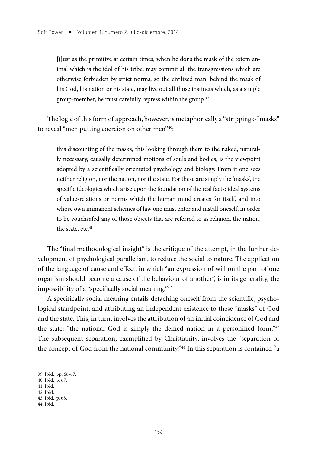[j]ust as the primitive at certain times, when he dons the mask of the totem animal which is the idol of his tribe, may commit all the transgressions which are otherwise forbidden by strict norms, so the civilized man, behind the mask of his God, his nation or his state, may live out all those instincts which, as a simple group-member, he must carefully repress within the group.<sup>39</sup>

The logic of this form of approach, however, is metaphorically a "stripping of masks" to reveal "men putting coercion on other men"<sup>40</sup>:

this discounting of the masks, this looking through them to the naked, naturally necessary, causally determined motions of souls and bodies, is the viewpoint adopted by a scientifically orientated psychology and biology. From it one sees neither religion, nor the nation, nor the state. For these are simply the 'masks', the specific ideologies which arise upon the foundation of the real facts; ideal systems of value-relations or norms which the human mind creates for itself, and into whose own immanent schemes of law one must enter and install oneself, in order to be vouchsafed any of those objects that are referred to as religion, the nation, the state, etc.<sup>41</sup>

The "final methodological insight" is the critique of the attempt, in the further development of psychological parallelism, to reduce the social to nature. The application of the language of cause and effect, in which "an expression of will on the part of one organism should become a cause of the behaviour of another", is in its generality, the impossibility of a "specifically social meaning."42

A specifically social meaning entails detaching oneself from the scientific, psychological standpoint, and attributing an independent existence to these "masks" of God and the state. This, in turn, involves the attribution of an initial coincidence of God and the state: "the national God is simply the deified nation in a personified form."43 The subsequent separation, exemplified by Christianity, involves the "separation of the concept of God from the national community."44 In this separation is contained "a

42. Ibid.

<sup>39.</sup> Ibid., pp. 66-67.

<sup>40.</sup> Ibid., p. 67.

<sup>41.</sup> Ibid.

<sup>43.</sup> Ibid., p. 68.

<sup>44.</sup> Ibid.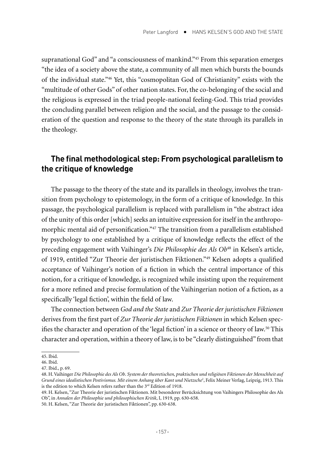supranational God" and "a consciousness of mankind."45 From this separation emerges "the idea of a society above the state, a community of all men which bursts the bounds of the individual state."46 Yet, this "cosmopolitan God of Christianity" exists with the "multitude of other Gods" of other nation states. For, the co-belonging of the social and the religious is expressed in the triad people-national feeling-God. This triad provides the concluding parallel between religion and the social, and the passage to the consideration of the question and response to the theory of the state through its parallels in the theology.

## **The final methodological step: From psychological parallelism to the critique of knowledge**

The passage to the theory of the state and its parallels in theology, involves the transition from psychology to epistemology, in the form of a critique of knowledge. In this passage, the psychological parallelism is replaced with parallelism in "the abstract idea of the unity of this order [which] seeks an intuitive expression for itself in the anthropomorphic mental aid of personification."47 The transition from a parallelism established by psychology to one established by a critique of knowledge reflects the effect of the preceding engagement with Vaihinger's *Die Philosophie des Als Ob*48 in Kelsen's article, of 1919, entitled "Zur Theorie der juristischen Fiktionen."49 Kelsen adopts a qualified acceptance of Vaihinger's notion of a fiction in which the central importance of this notion, for a critique of knowledge, is recognized while insisting upon the requirement for a more refined and precise formulation of the Vaihingerian notion of a fiction, as a specifically 'legal fiction', within the field of law.

The connection between *God and the State* and *Zur Theorie der juristischen Fiktionen* derives from the first part of *Zur Theorie der juristischen Fiktionen* in which Kelsen specifies the character and operation of the 'legal fiction' in a science or theory of law.50 This character and operation, within a theory of law, is to be "clearly distinguished" from that

<sup>45.</sup> Ibid.

<sup>46.</sup> Ibid.

<sup>47.</sup> Ibid., p. 69.

<sup>48.</sup> H. Vaihinger *Die Philosophie des Als Ob*. *System der theoretischen, praktischen und religiösen Fiktionen der Menschheit auf Grund eines idealistischen Postivismus. Mit einem Anhang über Kant und Nietzsche*<sup>2</sup> , Felix Meiner Verlag, Leipzig, 1913. This is the edition to which Kelsen refers rather than the 3<sup>rd</sup> Edition of 1918.

<sup>49.</sup> H. Kelsen, "Zur Theorie der juristischen Fiktionen. Mit besonderer Berücksichtung von Vaihingers Philosophie des Als Ob", in *Annalen der Philosophie und philosophischen Kritik*, I, 1919, pp. 630-658.

<sup>50.</sup> H. Kelsen, "Zur Theorie der juristischen Fiktionen", pp. 630-638.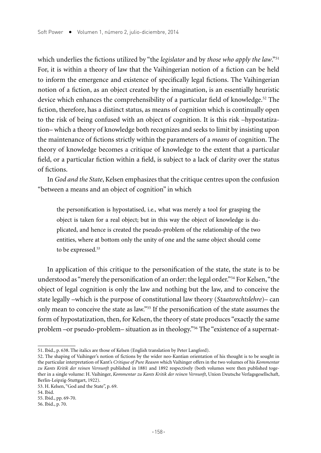which underlies the fictions utilized by "the *legislator* and by *those who apply the law*."51 For, it is within a theory of law that the Vaihingerian notion of a fiction can be held to inform the emergence and existence of specifically legal fictions. The Vaihingerian notion of a fiction, as an object created by the imagination, is an essentially heuristic device which enhances the comprehensibility of a particular field of knowledge.<sup>52</sup> The fiction, therefore, has a distinct status, as means of cognition which is continually open to the risk of being confused with an object of cognition. It is this risk –hypostatization– which a theory of knowledge both recognizes and seeks to limit by insisting upon the maintenance of fictions strictly within the parameters of a *means* of cognition. The theory of knowledge becomes a critique of knowledge to the extent that a particular field, or a particular fiction within a field, is subject to a lack of clarity over the status of fictions.

In *God and the State*, Kelsen emphasizes that the critique centres upon the confusion "between a means and an object of cognition" in which

the personification is hypostatised, i.e., what was merely a tool for grasping the object is taken for a real object; but in this way the object of knowledge is duplicated, and hence is created the pseudo-problem of the relationship of the two entities, where at bottom only the unity of one and the same object should come to be expressed.<sup>53</sup>

In application of this critique to the personification of the state, the state is to be understood as "merely the personification of an order: the legal order."54 For Kelsen, "the object of legal cognition is only the law and nothing but the law, and to conceive the state legally –which is the purpose of constitutional law theory (*Staatsrechtslehre*)– can only mean to conceive the state as law."55 If the personification of the state assumes the form of hypostatization, then, for Kelsen, the theory of state produces "exactly the same problem –or pseudo-problem– situation as in theology."56 The "existence of a supernat-

<sup>51.</sup> Ibid., p. 638. The italics are those of Kelsen (English translation by Peter Langford).

<sup>52.</sup> The shaping of Vaihinger's notion of fictions by the wider neo-Kantian orientation of his thought is to be sought in the particular interpretation of Kant's *Critique of Pure Reason* which Vaihinger offers in the two volumes of his *Kommentar zu Kants Kritik der reinen Vernunft* published in 1881 and 1892 respectively (both volumes were then published together in a single volume: H. Vaihinger, *Kommentar zu Kants Kritik der reinen Vernunft*, Union Deutsche Verlagsgesellschaft, Berlin-Leipzig-Stuttgart, 1922).

<sup>53.</sup> H. Kelsen, "God and the State", p. 69.

<sup>54.</sup> Ibid.

<sup>55.</sup> Ibid., pp. 69-70.

<sup>56.</sup> Ibid., p. 70.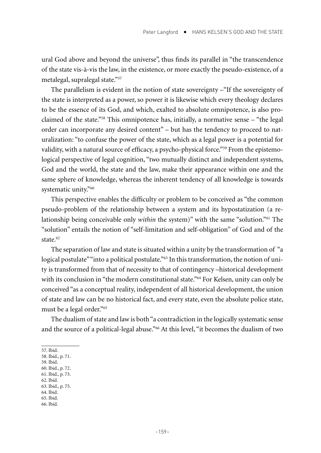ural God above and beyond the universe", thus finds its parallel in "the transcendence of the state vis-à-vis the law, in the existence, or more exactly the pseudo-existence, of a metalegal, supralegal state."57

The parallelism is evident in the notion of state sovereignty –"If the sovereignty of the state is interpreted as a power, so power it is likewise which every theology declares to be the essence of its God, and which, exalted to absolute omnipotence, is also proclaimed of the state."58 This omnipotence has, initially, a normative sense – "the legal order can incorporate any desired content" – but has the tendency to proceed to naturalization: "to confuse the power of the state, which as a legal power is a potential for validity, with a natural source of efficacy, a psycho-physical force."59 From the epistemological perspective of legal cognition, "two mutually distinct and independent systems, God and the world, the state and the law, make their appearance within one and the same sphere of knowledge, whereas the inherent tendency of all knowledge is towards systematic unity."60

This perspective enables the difficulty or problem to be conceived as "the common pseudo-problem of the relationship between a system and its hypostatization (a relationship being conceivable only *within* the system)" with the same "solution."61 The "solution" entails the notion of "self-limitation and self-obligation" of God and of the state $62$ 

The separation of law and state is situated within a unity by the transformation of "a logical postulate" "into a political postulate."<sup>63</sup> In this transformation, the notion of unity is transformed from that of necessity to that of contingency –historical development with its conclusion in "the modern constitutional state."<sup>64</sup> For Kelsen, unity can only be conceived "as a conceptual reality, independent of all historical development, the union of state and law can be no historical fact, and every state, even the absolute police state, must be a legal order."65

The dualism of state and law is both "a contradiction in the logically systematic sense and the source of a political-legal abuse."66 At this level, "it becomes the dualism of two

- 59. Ibid.
- 60. Ibid., p. 72. 61. Ibid., p. 73.
- 62. Ibid.
- 63. Ibid., p. 75.
- 64. Ibid.
- 65. Ibid.
- 66. Ibid.

<sup>57.</sup> Ibid.

<sup>58.</sup> Ibid., p. 71.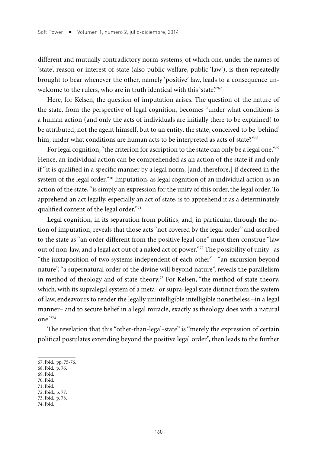different and mutually contradictory norm-systems, of which one, under the names of 'state', reason or interest of state (also public welfare, public 'law'), is then repeatedly brought to bear whenever the other, namely 'positive' law, leads to a consequence unwelcome to the rulers, who are in truth identical with this 'state'."67

Here, for Kelsen, the question of imputation arises. The question of the nature of the state, from the perspective of legal cognition, becomes "under what conditions is a human action (and only the acts of individuals are initially there to be explained) to be attributed, not the agent himself, but to an entity, the state, conceived to be 'behind' him, under what conditions are human acts to be interpreted as acts of state?"<sup>68</sup>

For legal cognition, "the criterion for ascription to the state can only be a legal one."<sup>69</sup> Hence, an individual action can be comprehended as an action of the state if and only if "it is qualified in a specific manner by a legal norm, [and, therefore,] if decreed in the system of the legal order."<sup>70</sup> Imputation, as legal cognition of an individual action as an action of the state, "is simply an expression for the unity of this order, the legal order. To apprehend an act legally, especially an act of state, is to apprehend it as a determinately qualified content of the legal order."71

Legal cognition, in its separation from politics, and, in particular, through the notion of imputation, reveals that those acts "not covered by the legal order" and ascribed to the state as "an order different from the positive legal one" must then construe "law out of non-law, and a legal act out of a naked act of power."72 The possibility of unity –as "the juxtaposition of two systems independent of each other"– "an excursion beyond nature", "a supernatural order of the divine will beyond nature", reveals the parallelism in method of theology and of state-theory.<sup>73</sup> For Kelsen, "the method of state-theory, which, with its supralegal system of a meta- or supra-legal state distinct from the system of law, endeavours to render the legally unintelligible intelligible nonetheless –in a legal manner– and to secure belief in a legal miracle, exactly as theology does with a natural one."74

The revelation that this "other-than-legal-state" is "merely the expression of certain political postulates extending beyond the positive legal order", then leads to the further

- 72. Ibid., p. 77.
- 73. Ibid., p. 78.
- 74. Ibid.

<sup>67.</sup> Ibid., pp. 75-76.

<sup>68.</sup> Ibid., p. 76.

<sup>69.</sup> Ibid. 70. Ibid.

<sup>71.</sup> Ibid.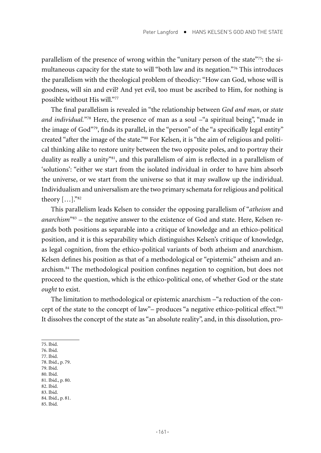parallelism of the presence of wrong within the "unitary person of the state"<sup>75</sup>: the simultaneous capacity for the state to will "both law and its negation."76 This introduces the parallelism with the theological problem of theodicy: "How can God, whose will is goodness, will sin and evil? And yet evil, too must be ascribed to Him, for nothing is possible without His will."<sup>77</sup>

The final parallelism is revealed in "the relationship between *God and man*, or *state*  and individual."<sup>78</sup> Here, the presence of man as a soul -"a spiritual being", "made in the image of God"79, finds its parallel, in the "person" of the "a specifically legal entity" created "after the image of the state."80 For Kelsen, it is "the aim of religious and political thinking alike to restore unity between the two opposite poles, and to portray their duality as really a unity"81, and this parallelism of aim is reflected in a parallelism of 'solutions': "either we start from the isolated individual in order to have him absorb the universe, or we start from the universe so that it may swallow up the individual. Individualism and universalism are the two primary schemata for religious and political theory […]."82

This parallelism leads Kelsen to consider the opposing parallelism of "*atheism* and *anarchism*"83 – the negative answer to the existence of God and state. Here, Kelsen regards both positions as separable into a critique of knowledge and an ethico-political position, and it is this separability which distinguishes Kelsen's critique of knowledge, as legal cognition, from the ethico-political variants of both atheism and anarchism. Kelsen defines his position as that of a methodological or "epistemic" atheism and anarchism.84 The methodological position confines negation to cognition, but does not proceed to the question, which is the ethico-political one, of whether God or the state *ought* to exist.

The limitation to methodological or epistemic anarchism –"a reduction of the concept of the state to the concept of law"– produces "a negative ethico-political effect."85 It dissolves the concept of the state as "an absolute reality", and, in this dissolution, pro-

75. Ibid.

- 76. Ibid.
- 77. Ibid.
- 78. Ibid., p. 79. 79. Ibid.
- 80. Ibid.
- 81. Ibid., p. 80.
- 82. Ibid.
- 83. Ibid.
- 84. Ibid., p. 81.
- 85. Ibid.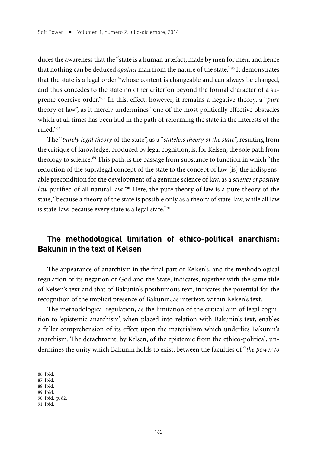duces the awareness that the "state is a human artefact, made by men for men, and hence that nothing can be deduced *against* man from the nature of the state."86 It demonstrates that the state is a legal order "whose content is changeable and can always be changed, and thus concedes to the state no other criterion beyond the formal character of a supreme coercive order."87 In this, effect, however, it remains a negative theory, a "*pure* theory of law", as it merely undermines "one of the most politically effective obstacles which at all times has been laid in the path of reforming the state in the interests of the ruled."88

The "*purely legal theory* of the state", as a "*stateless theory of the state*", resulting from the critique of knowledge, produced by legal cognition, is, for Kelsen, the sole path from theology to science.89 This path, is the passage from substance to function in which "the reduction of the supralegal concept of the state to the concept of law [is] the indispensable precondition for the development of a genuine science of law, as a *science of positive law* purified of all natural law."<sup>90</sup> Here, the pure theory of law is a pure theory of the state, "because a theory of the state is possible only as a theory of state-law, while all law is state-law, because every state is a legal state."<sup>91</sup>

## **The methodological limitation of ethico-political anarchism: Bakunin in the text of Kelsen**

The appearance of anarchism in the final part of Kelsen's, and the methodological regulation of its negation of God and the State, indicates, together with the same title of Kelsen's text and that of Bakunin's posthumous text, indicates the potential for the recognition of the implicit presence of Bakunin, as intertext, within Kelsen's text.

The methodological regulation, as the limitation of the critical aim of legal cognition to 'epistemic anarchism', when placed into relation with Bakunin's text, enables a fuller comprehension of its effect upon the materialism which underlies Bakunin's anarchism. The detachment, by Kelsen, of the epistemic from the ethico-political, undermines the unity which Bakunin holds to exist, between the faculties of "*the power to* 

- 88. Ibid.
- 89. Ibid.

<sup>86.</sup> Ibid.

<sup>87.</sup> Ibid.

<sup>90.</sup> Ibid., p. 82.

<sup>91.</sup> Ibid.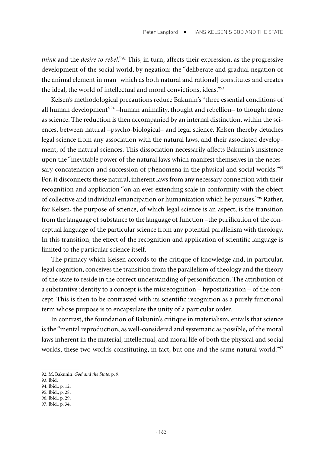*think* and the *desire to rebel*."92 This, in turn, affects their expression, as the progressive development of the social world, by negation: the "deliberate and gradual negation of the animal element in man [which as both natural and rational] constitutes and creates the ideal, the world of intellectual and moral convictions, ideas."93

Kelsen's methodological precautions reduce Bakunin's "three essential conditions of all human development"94 –human animality, thought and rebellion– to thought alone as science. The reduction is then accompanied by an internal distinction, within the sciences, between natural –psycho-biological– and legal science. Kelsen thereby detaches legal science from any association with the natural laws, and their associated development, of the natural sciences. This dissociation necessarily affects Bakunin's insistence upon the "inevitable power of the natural laws which manifest themselves in the necessary concatenation and succession of phenomena in the physical and social worlds."<sup>95</sup> For, it disconnects these natural, inherent laws from any necessary connection with their recognition and application "on an ever extending scale in conformity with the object of collective and individual emancipation or humanization which he pursues."96 Rather, for Kelsen, the purpose of science, of which legal science is an aspect, is the transition from the language of substance to the language of function –the purification of the conceptual language of the particular science from any potential parallelism with theology. In this transition, the effect of the recognition and application of scientific language is limited to the particular science itself.

The primacy which Kelsen accords to the critique of knowledge and, in particular, legal cognition, conceives the transition from the parallelism of theology and the theory of the state to reside in the correct understanding of personification. The attribution of a substantive identity to a concept is the misrecognition – hypostatization – of the concept. This is then to be contrasted with its scientific recognition as a purely functional term whose purpose is to encapsulate the unity of a particular order.

In contrast, the foundation of Bakunin's critique in materialism, entails that science is the "mental reproduction, as well-considered and systematic as possible, of the moral laws inherent in the material, intellectual, and moral life of both the physical and social worlds, these two worlds constituting, in fact, but one and the same natural world."<sup>97</sup>

96. Ibid., p. 29.

<sup>92.</sup> M. Bakunin, *God and the State*, p. 9.

<sup>93.</sup> Ibid.

<sup>94.</sup> Ibid., p. 12.

<sup>95.</sup> Ibid., p. 28.

<sup>97.</sup> Ibid., p. 34.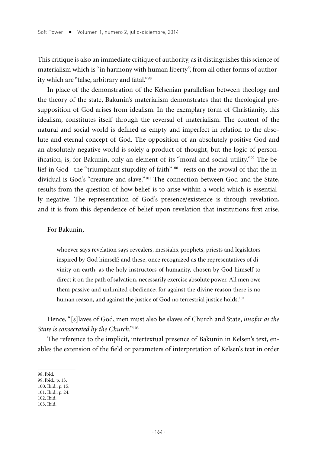This critique is also an immediate critique of authority, as it distinguishes this science of materialism which is "in harmony with human liberty", from all other forms of authority which are "false, arbitrary and fatal."98

In place of the demonstration of the Kelsenian parallelism between theology and the theory of the state, Bakunin's materialism demonstrates that the theological presupposition of God arises from idealism. In the exemplary form of Christianity, this idealism, constitutes itself through the reversal of materialism. The content of the natural and social world is defined as empty and imperfect in relation to the absolute and eternal concept of God. The opposition of an absolutely positive God and an absolutely negative world is solely a product of thought, but the logic of personification, is, for Bakunin, only an element of its "moral and social utility."99 The belief in God –the "triumphant stupidity of faith"100– rests on the avowal of that the individual is God's "creature and slave."101 The connection between God and the State, results from the question of how belief is to arise within a world which is essentially negative. The representation of God's presence/existence is through revelation, and it is from this dependence of belief upon revelation that institutions first arise.

For Bakunin,

whoever says revelation says revealers, messiahs, prophets, priests and legislators inspired by God himself: and these, once recognized as the representatives of divinity on earth, as the holy instructors of humanity, chosen by God himself to direct it on the path of salvation, necessarily exercise absolute power. All men owe them passive and unlimited obedience; for against the divine reason there is no human reason, and against the justice of God no terrestrial justice holds.<sup>102</sup>

Hence, "[s]laves of God, men must also be slaves of Church and State, *insofar as the State is consecrated by the Church*."103

The reference to the implicit, intertextual presence of Bakunin in Kelsen's text, enables the extension of the field or parameters of interpretation of Kelsen's text in order

<sup>98.</sup> Ibid.

<sup>99.</sup> Ibid., p. 13.

<sup>100.</sup> Ibid., p. 15.

<sup>101.</sup> Ibid., p. 24. 102. Ibid.

<sup>103.</sup> Ibid.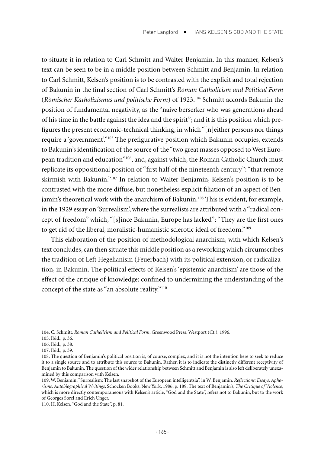to situate it in relation to Carl Schmitt and Walter Benjamin. In this manner, Kelsen's text can be seen to be in a middle position between Schmitt and Benjamin. In relation to Carl Schmitt, Kelsen's position is to be contrasted with the explicit and total rejection of Bakunin in the final section of Carl Schmitt's *Roman Catholicism and Political Form* (*Römischer Katholizismus und politische Form*) of 1923.104 Schmitt accords Bakunin the position of fundamental negativity, as the "naive berserker who was generations ahead of his time in the battle against the idea and the spirit"; and it is this position which prefigures the present economic-technical thinking, in which "[n]either persons nor things require a 'government'."<sup>105</sup> The prefigurative position which Bakunin occupies, extends to Bakunin's identification of the source of the "two great masses opposed to West European tradition and education"106, and, against which, the Roman Catholic Church must replicate its oppositional position of "first half of the nineteenth century": "that remote skirmish with Bakunin."107 In relation to Walter Benjamin, Kelsen's position is to be contrasted with the more diffuse, but nonetheless explicit filiation of an aspect of Benjamin's theoretical work with the anarchism of Bakunin.<sup>108</sup> This is evident, for example, in the 1929 essay on 'Surrealism', where the surrealists are attributed with a "radical concept of freedom" which, "[s]ince Bakunin, Europe has lacked": "They are the first ones to get rid of the liberal, moralistic-humanistic sclerotic ideal of freedom."109

This elaboration of the position of methodological anarchism, with which Kelsen's text concludes, can then situate this middle position as a reworking which circumscribes the tradition of Left Hegelianism (Feuerbach) with its political extension, or radicalization, in Bakunin. The political effects of Kelsen's 'epistemic anarchism' are those of the effect of the critique of knowledge: confined to undermining the understanding of the concept of the state as "an absolute reality."110

<sup>104.</sup> C. Schmitt, *Roman Catholicism and Political Form*, Greenwood Press, Westport (Ct.), 1996.

<sup>105.</sup> Ibid., p. 36.

<sup>106.</sup> Ibid., p. 38.

<sup>107.</sup> Ibid., p. 39.

<sup>108.</sup> The question of Benjamin's political position is, of course, complex, and it is not the intention here to seek to reduce it to a single source and to attribute this source to Bakunin. Rather, it is to indicate the distinctly different receptivity of Benjamin to Bakunin. The question of the wider relationship between Schmitt and Benjamin is also left deliberately unexamined by this comparison with Kelsen.

<sup>109.</sup> W. Benjamin, "Surrealism: The last snapshot of the European intelligentsia", in W. Benjamin, *Reflections: Essays, Aphorisms, Autobiographical Writings*, Schocken Books, New York, 1986, p. 189. The text of Benjamin's, *The Critique of Violence*, which is more directly contemporaneous with Kelsen's article, "God and the State", refers not to Bakunin, but to the work of Georges Sorel and Erich Unger.

<sup>110.</sup> H. Kelsen, "God and the State", p. 81.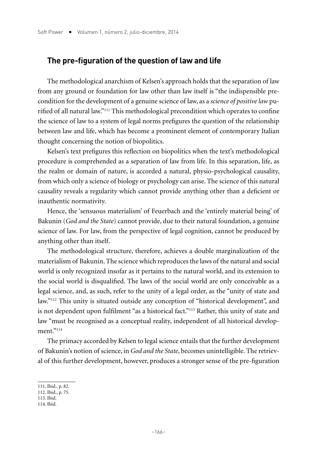#### **The pre-figuration of the question of law and life**

The methodological anarchism of Kelsen's approach holds that the separation of law from any ground or foundation for law other than law itself is "the indispensible precondition for the development of a genuine science of law, as a *science of positive law* purified of all natural law."111 This methodological precondition which operates to confine the science of law to a system of legal norms prefigures the question of the relationship between law and life, which has become a prominent element of contemporary Italian thought concerning the notion of biopolitics.

Kelsen's text prefigures this reflection on biopolitics when the text's methodological procedure is comprehended as a separation of law from life. In this separation, life, as the realm or domain of nature, is accorded a natural, physio-psychological causality, from which only a science of biology or psychology can arise. The science of this natural causality reveals a regularity which cannot provide anything other than a deficient or inauthentic normativity.

Hence, the 'sensuous materialism' of Feuerbach and the 'entirely material being' of Bakunin (*God and the State*) cannot provide, due to their natural foundation, a genuine science of law. For law, from the perspective of legal cognition, cannot be produced by anything other than itself.

The methodological structure, therefore, achieves a double marginalization of the materialism of Bakunin. The science which reproduces the laws of the natural and social world is only recognized insofar as it pertains to the natural world, and its extension to the social world is disqualified. The laws of the social world are only conceivable as a legal science, and, as such, refer to the unity of a legal order, as the "unity of state and law."112 This unity is situated outside any conception of "historical development", and is not dependent upon fulfilment "as a historical fact."113 Rather, this unity of state and law "must be recognised as a conceptual reality, independent of all historical development."114

The primacy accorded by Kelsen to legal science entails that the further development of Bakunin's notion of science, in *God and the State*, becomes unintelligible. The retrieval of this further development, however, produces a stronger sense of the pre-figuration

113. Ibid.

<sup>111.</sup> Ibid., p. 82.

<sup>112.</sup> Ibid., p. 75.

<sup>114.</sup> Ibid.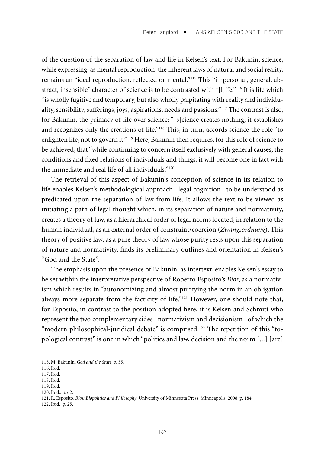of the question of the separation of law and life in Kelsen's text. For Bakunin, science, while expressing, as mental reproduction, the inherent laws of natural and social reality, remains an "ideal reproduction, reflected or mental."115 This "impersonal, general, abstract, insensible" character of science is to be contrasted with "[l]ife."116 It is life which "is wholly fugitive and temporary, but also wholly palpitating with reality and individuality, sensibility, sufferings, joys, aspirations, needs and passions."117 The contrast is also, for Bakunin, the primacy of life over science: "[s]cience creates nothing, it establishes and recognizes only the creations of life."118 This, in turn, accords science the role "to enlighten life, not to govern it."<sup>119</sup> Here, Bakunin then requires, for this role of science to be achieved, that "while continuing to concern itself exclusively with general causes, the conditions and fixed relations of individuals and things, it will become one in fact with the immediate and real life of all individuals."120

The retrieval of this aspect of Bakunin's conception of science in its relation to life enables Kelsen's methodological approach –legal cognition– to be understood as predicated upon the separation of law from life. It allows the text to be viewed as initiating a path of legal thought which, in its separation of nature and normativity, creates a theory of law, as a hierarchical order of legal norms located, in relation to the human individual, as an external order of constraint/coercion (*Zwangsordnung*). This theory of positive law, as a pure theory of law whose purity rests upon this separation of nature and normativity, finds its preliminary outlines and orientation in Kelsen's "God and the State".

The emphasis upon the presence of Bakunin, as intertext, enables Kelsen's essay to be set within the interpretative perspective of Roberto Esposito's *Bíos*, as a normativism which results in "autonomizing and almost purifying the norm in an obligation always more separate from the facticity of life."121 However, one should note that, for Esposito, in contrast to the position adopted here, it is Kelsen and Schmitt who represent the two complementary sides –normativism and decisionism– of which the "modern philosophical-juridical debate" is comprised.<sup>122</sup> The repetition of this "topological contrast" is one in which "politics and law, decision and the norm [...] [are]

<sup>115.</sup> M. Bakunin, *God and the State*, p. 55.

<sup>116.</sup> Ibid.

<sup>117.</sup> Ibid.

<sup>118.</sup> Ibid. 119. Ibid.

<sup>120.</sup> Ibid., p. 62.

<sup>121.</sup> R. Esposito, *Bíos: Biopolitics and Philosophy*, University of Minnesota Press, Minneapolis, 2008, p. 184.

<sup>122.</sup> Ibid., p. 25.